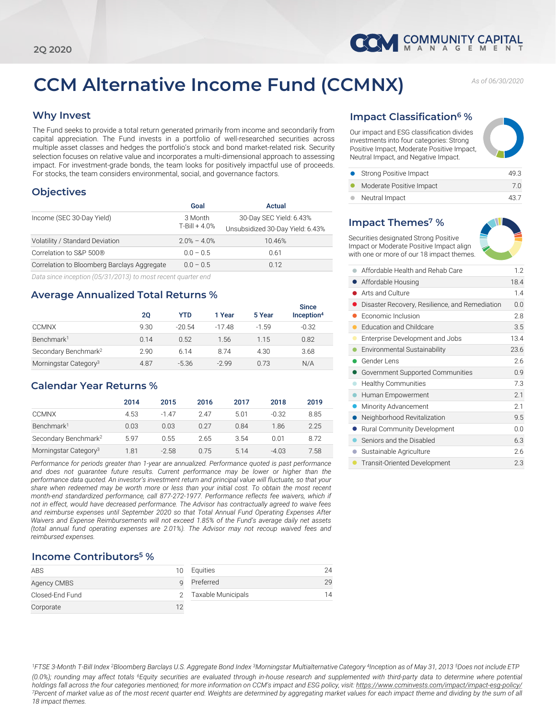

# **CCM Alternative Income Fund (CCMNX)** *As of 06/30/2020*

## **Why Invest**

The Fund seeks to provide a total return generated primarily from income and secondarily from capital appreciation. The Fund invests in a portfolio of well-researched securities across multiple asset classes and hedges the portfolio's stock and bond market-related risk. Security selection focuses on relative value and incorporates a multi-dimensional approach to assessing impact. For investment-grade bonds, the team looks for positively impactful use of proceeds. For stocks, the team considers environmental, social, and governance factors.

## **Objectives**

| Goal              | Actual                           |
|-------------------|----------------------------------|
| 3 Month           | 30-Day SEC Yield: 6.43%          |
| $T - Bill + 4.0%$ | Unsubsidized 30-Day Yield: 6.43% |
| $2.0% - 4.0%$     | 10.46%                           |
| $0.0 - 0.5$       | 0.61                             |
| $0.0 - 0.5$       | 0.12                             |
|                   |                                  |

*Data since inception (05/31/2013) to most recent quarter end*

## **Average Annualized Total Returns %**

|                                   | 20   | <b>YTD</b> | 1 Year | 5 Year  | <b>Since</b><br>Inception <sup>4</sup> |
|-----------------------------------|------|------------|--------|---------|----------------------------------------|
| <b>CCMNX</b>                      | 9.30 | $-20.54$   | -1748  | $-1.59$ | $-0.32$                                |
| Benchmark <sup>1</sup>            | 0.14 | 0.52       | 1.56   | 1.15    | 0.82                                   |
| Secondary Benchmark <sup>2</sup>  | 2.90 | 6.14       | 8.74   | 4.30    | 3.68                                   |
| Morningstar Category <sup>3</sup> | 4.87 | $-5.36$    | $-299$ | 0.73    | N/A                                    |

# **Calendar Year Returns %**

|                                   | 2014 | 2015    | 2016 | 2017  | 2018    | 2019 |
|-----------------------------------|------|---------|------|-------|---------|------|
| <b>CCMNX</b>                      | 4.53 | $-147$  | 247  | 5.01  | $-0.32$ | 8.85 |
| Benchmark <sup>1</sup>            | 0.03 | 0.03    | 0.27 | 0.84  | 1.86    | 2.25 |
| Secondary Benchmark <sup>2</sup>  | 5.97 | 0.55    | 2.65 | 3.54  | 0.01    | 8.72 |
| Morningstar Category <sup>3</sup> | 1.81 | $-2.58$ | 0.75 | 5 1 4 | $-4.03$ | 7.58 |

*Performance for periods greater than 1-year are annualized. Performance quoted is past performance and does not guarantee future results. Current performance may be lower or higher than the performance data quoted. An investor's investment return and principal value will fluctuate, so that your share when redeemed may be worth more or less than your initial cost. To obtain the most recent month-end standardized performance, call 877-272-1977. Performance reflects fee waivers, which if not in effect, would have decreased performance. The Advisor has contractually agreed to waive fees and reimburse expenses until September 2020 so that Total Annual Fund Operating Expenses After Waivers and Expense Reimbursements will not exceed 1.85% of the Fund's average daily net assets (total annual fund operating expenses are 2.01%). The Advisor may not recoup waived fees and reimbursed expenses.*

## **Income Contributors5 %**

| ABS             |    | Equities           | 24 |
|-----------------|----|--------------------|----|
| Agency CMBS     |    | Preferred          | 29 |
| Closed-End Fund |    | Taxable Municipals | 14 |
| Corporate       | 12 |                    |    |

# **Impact Classification6 %**

Our impact and ESG classification divides investments into four categories: Strong Positive Impact, Moderate Positive Impact, Neutral Impact, and Negative Impact.

| • Strong Positive Impact | 49.3 |
|--------------------------|------|
| Moderate Positive Impact | 7.0  |
|                          |      |

● Neutral Impact 43.7

# **Impact Themes7 %**



Securities designated Strong Positive Impact or Moderate Positive Impact align with one or more of our 18 impact themes.

|           | Affordable Health and Rehab Care               | 1.2  |
|-----------|------------------------------------------------|------|
|           | Affordable Housing                             | 18.4 |
|           | Arts and Culture                               | 1.4  |
|           | Disaster Recovery, Resilience, and Remediation | 0.0  |
|           | Fconomic Inclusion                             | 2.8  |
|           | <b>Education and Childcare</b>                 | 3.5  |
|           | Enterprise Development and Jobs                | 13.4 |
|           | Environmental Sustainability                   | 23.6 |
|           | Gender Lens                                    | 2.6  |
|           | Government Supported Communities               | 0.9  |
| $\bullet$ | <b>Healthy Communities</b>                     | 7.3  |
|           | Human Empowerment                              | 2.1  |
|           | Minority Advancement                           | 2.1  |
|           | Neighborhood Revitalization                    | 9.5  |
|           | Rural Community Development                    | 0.0  |
|           | Seniors and the Disabled                       | 6.3  |
|           | Sustainable Agriculture                        | 2.6  |
|           | <b>Transit-Oriented Development</b>            | 2.3  |

<sup>1</sup>FTSE 3-Month T-Bill Index <sup>2</sup>Bloomberg Barclays U.S. Aggregate Bond Index <sup>3</sup>Morningstar Multialternative Category <sup>4</sup>Inception as of May 31, 2013 <sup>5</sup>Does not include ETP (0.0%); rounding may affect totals <sup>6</sup>Equity securities are evaluated through in-house research and supplemented with third-party data to determine where potential holdings fall across the four categories mentioned; for more information on CCM's impact and ESG policy, visit: <https://www.ccminvests.com/impact/impact-esg-policy/> 7Percent of market value as of the most recent quarter end. Weights are determined by aggregating market values for each impact theme and dividing by the sum of all *18 impact themes.*